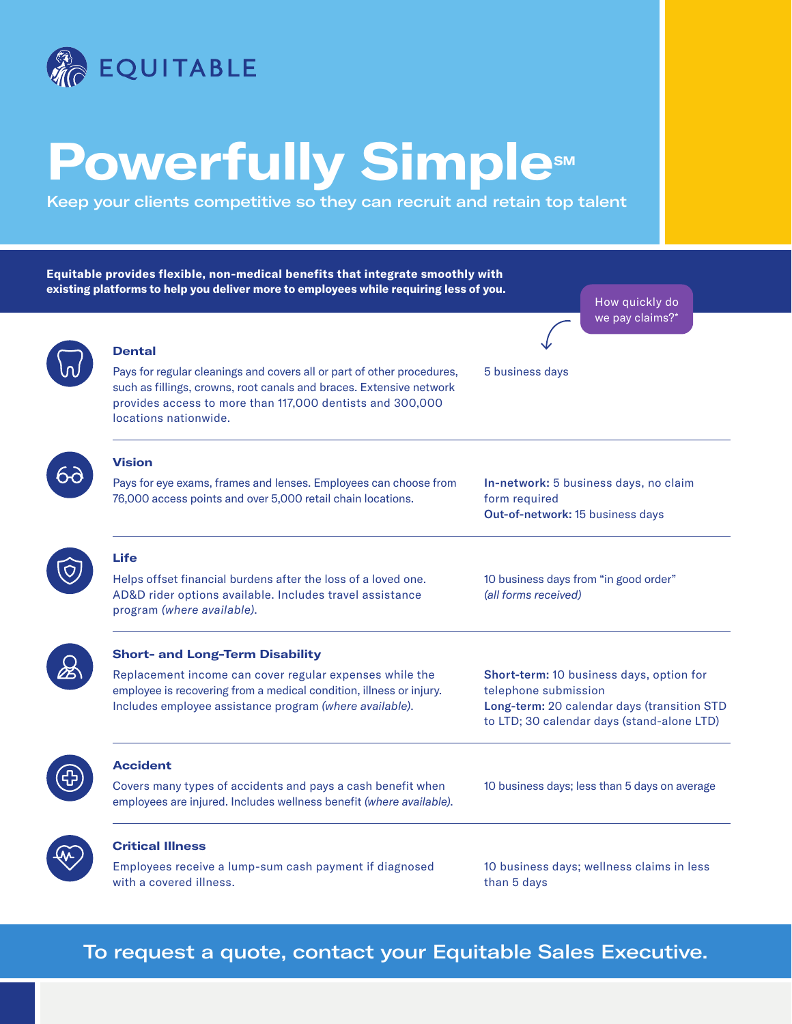

with a covered illness.

## **Powerfully Simplesm**

Keep your clients competitive so they can recruit and retain top talent

**Equitable provides flexible, non-medical benefits that integrate smoothly with existing platforms to help you deliver more to employees while requiring less of you.** How quickly do we pay claims?\* **Dental** Pays for regular cleanings and covers all or part of other procedures, 5 business days such as fillings, crowns, root canals and braces. Extensive network provides access to more than 117,000 dentists and 300,000 locations nationwide. **Vision** 69 Pays for eye exams, frames and lenses. Employees can choose from In-network: 5 business days, no claim 76,000 access points and over 5,000 retail chain locations. form required Out-of-network: 15 business days **Life** Helps offset financial burdens after the loss of a loved one. 10 business days from "in good order" AD&D rider options available. Includes travel assistance *(all forms received)* program *(where available)*. **Short- and Long-Term Disability**  $\cancel{\pi}$ Replacement income can cover regular expenses while the Short-term: 10 business days, option for employee is recovering from a medical condition, illness or injury. telephone submission Includes employee assistance program *(where available)*. Long-term: 20 calendar days (transition STD to LTD; 30 calendar days (stand-alone LTD) **Accident** Covers many types of accidents and pays a cash benefit when 10 business days; less than 5 days on average employees are injured. Includes wellness benefit *(where available)*. **Critical Illness** Employees receive a lump-sum cash payment if diagnosed 10 business days; wellness claims in less

To request a quote, contact your Equitable Sales Executive.

than 5 days